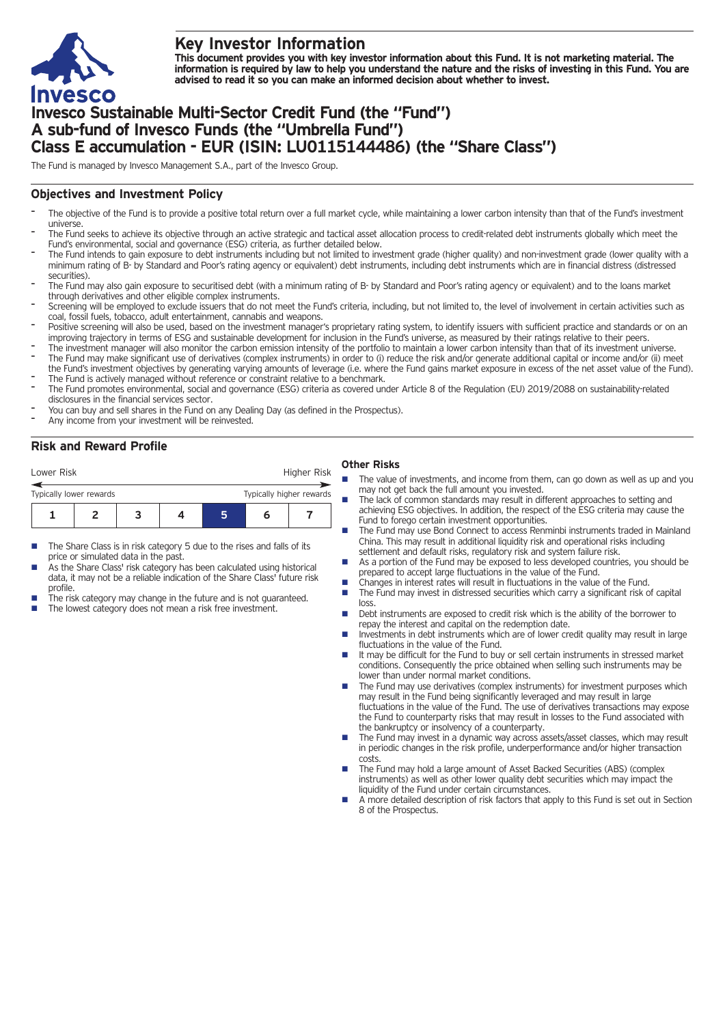

# **Key Investor Information**

This document provides you with key investor information about this Fund. It is not marketing material. The information is required by law to help you understand the nature and the risks of investing in this Fund. You are **advised to read it so you can make an informed decision about whether to invest.**

# **Invesco Sustainable Multi-Sector Credit Fund (the "Fund") A sub-fund of Invesco Funds (the "Umbrella Fund") Class E accumulation - EUR (ISIN: LU0115144486) (the "Share Class")**

The Fund is managed by Invesco Management S.A., part of the Invesco Group.

# **Objectives and Investment Policy**

- The objective of the Fund is to provide a positive total return over a full market cycle, while maintaining a lower carbon intensity than that of the Fund's investment universe.
- The Fund seeks to achieve its objective through an active strategic and tactical asset allocation process to credit-related debt instruments globally which meet the Fund's environmental, social and governance (ESG) criteria, as further detailed below.
- The Fund intends to gain exposure to debt instruments including but not limited to investment grade (higher quality) and non-investment grade (lower quality with a minimum rating of B- by Standard and Poor's rating agency or equivalent) debt instruments, including debt instruments which are in financial distress (distressed securities).
- The Fund may also gain exposure to securitised debt (with a minimum rating of B- by Standard and Poor's rating agency or equivalent) and to the loans market through derivatives and other eligible complex instruments.
- Screening will be employed to exclude issuers that do not meet the Fund's criteria, including, but not limited to, the level of involvement in certain activities such as coal, fossil fuels, tobacco, adult entertainment, cannabis and weapons.
- Positive screening will also be used, based on the investment manager's proprietary rating system, to identify issuers with sufficient practice and standards or on an improving trajectory in terms of ESG and sustainable development for inclusion in the Fund's universe, as measured by their ratings relative to their peers.
- The investment manager will also monitor the carbon emission intensity of the portfolio to maintain a lower carbon intensity than that of its investment universe. The Fund may make significant use of derivatives (complex instruments) in order to (i) reduce the risk and/or generate additional capital or income and/or (ii) meet
- the Fund's investment objectives by generating varying amounts of leverage (i.e. where the Fund gains market exposure in excess of the net asset value of the Fund). The Fund is actively managed without reference or constraint relative to a benchmark.
- The Fund promotes environmental, social and governance (ESG) criteria as covered under Article 8 of the Regulation (EU) 2019/2088 on sustainability-related disclosures in the financial services sector.
- You can buy and sell shares in the Fund on any Dealing Day (as defined in the Prospectus).
- Any income from your investment will be reinvested.

# **Risk and Reward Profile**

| Lower Risk                                          |  |  |  |  |  | Higher Risk |  |  |
|-----------------------------------------------------|--|--|--|--|--|-------------|--|--|
| Typically higher rewards<br>Typically lower rewards |  |  |  |  |  |             |  |  |
|                                                     |  |  |  |  |  |             |  |  |

- The Share Class is in risk category 5 due to the rises and falls of its price or simulated data in the past.
- As the Share Class' risk category has been calculated using historical data, it may not be a reliable indication of the Share Class' future risk profile.
- The risk category may change in the future and is not guaranteed.
- The lowest category does not mean a risk free investment.

### **Other Risks**

- **n** The value of investments, and income from them, can go down as well as up and you may not get back the full amount you invested.
- The lack of common standards may result in different approaches to setting and achieving ESG objectives. In addition, the respect of the ESG criteria may cause the Fund to forego certain investment opportunities.
- The Fund may use Bond Connect to access Renminbi instruments traded in Mainland China. This may result in additional liquidity risk and operational risks including settlement and default risks, regulatory risk and system failure risk.
- As a portion of the Fund may be exposed to less developed countries, you should be prepared to accept large fluctuations in the value of the Fund.
- 
- Changes in interest rates will result in fluctuations in the value of the Fund.<br>■ The Fund may invest in distressed securities which carry a significant risk of The Fund may invest in distressed securities which carry a significant risk of capital loss.
- Debt instruments are exposed to credit risk which is the ability of the borrower to repay the interest and capital on the redemption date.
- $\blacksquare$  Investments in debt instruments which are of lower credit quality may result in large fluctuations in the value of the Fund.
- $\blacksquare$  It may be difficult for the Fund to buy or sell certain instruments in stressed market conditions. Consequently the price obtained when selling such instruments may be lower than under normal market conditions.
- The Fund may use derivatives (complex instruments) for investment purposes which may result in the Fund being significantly leveraged and may result in large fluctuations in the value of the Fund. The use of derivatives transactions may expose the Fund to counterparty risks that may result in losses to the Fund associated with the bankruptcy or insolvency of a counterparty.
- The Fund may invest in a dynamic way across assets/asset classes, which may result in periodic changes in the risk profile, underperformance and/or higher transaction costs.
- The Fund may hold a large amount of Asset Backed Securities (ABS) (complex instruments) as well as other lower quality debt securities which may impact the liquidity of the Fund under certain circumstances.
- A more detailed description of risk factors that apply to this Fund is set out in Section 8 of the Prospectus.